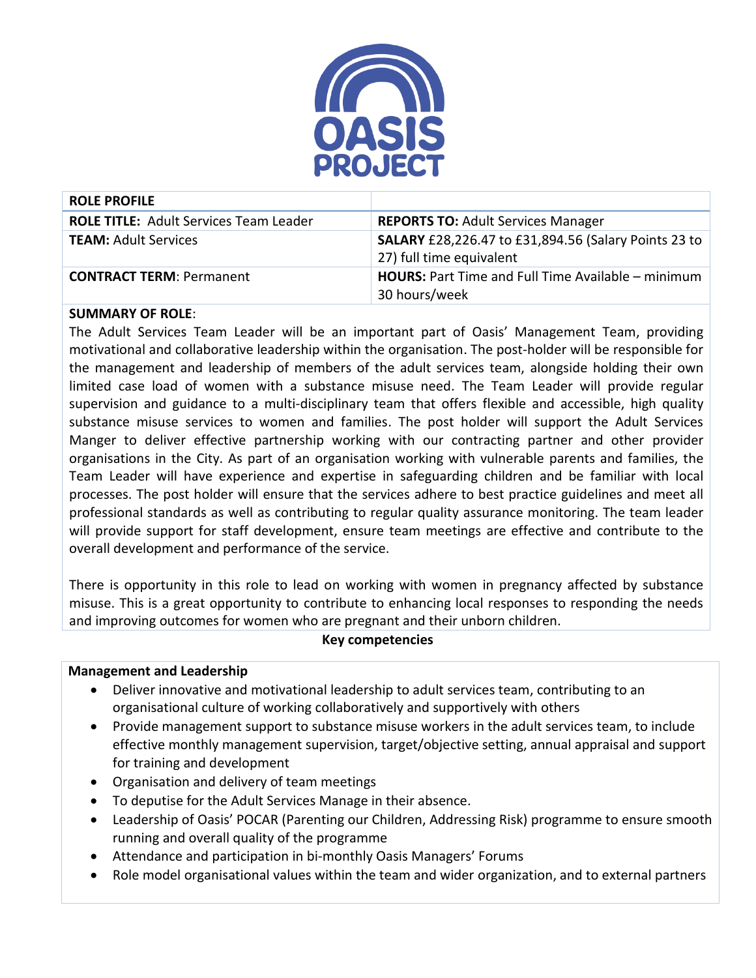

| <b>ROLE PROFILE</b>                           |                                                                                         |
|-----------------------------------------------|-----------------------------------------------------------------------------------------|
| <b>ROLE TITLE: Adult Services Team Leader</b> | <b>REPORTS TO: Adult Services Manager</b>                                               |
| <b>TEAM: Adult Services</b>                   | <b>SALARY</b> £28,226.47 to £31,894.56 (Salary Points 23 to<br>27) full time equivalent |
| <b>CONTRACT TERM: Permanent</b>               | <b>HOURS:</b> Part Time and Full Time Available – minimum<br>30 hours/week              |

## **SUMMARY OF ROLE**:

The Adult Services Team Leader will be an important part of Oasis' Management Team, providing motivational and collaborative leadership within the organisation. The post-holder will be responsible for the management and leadership of members of the adult services team, alongside holding their own limited case load of women with a substance misuse need. The Team Leader will provide regular supervision and guidance to a multi-disciplinary team that offers flexible and accessible, high quality substance misuse services to women and families. The post holder will support the Adult Services Manger to deliver effective partnership working with our contracting partner and other provider organisations in the City. As part of an organisation working with vulnerable parents and families, the Team Leader will have experience and expertise in safeguarding children and be familiar with local processes. The post holder will ensure that the services adhere to best practice guidelines and meet all professional standards as well as contributing to regular quality assurance monitoring. The team leader will provide support for staff development, ensure team meetings are effective and contribute to the overall development and performance of the service.

There is opportunity in this role to lead on working with women in pregnancy affected by substance misuse. This is a great opportunity to contribute to enhancing local responses to responding the needs and improving outcomes for women who are pregnant and their unborn children.

# **Key competencies**

#### **Management and Leadership**

- Deliver innovative and motivational leadership to adult services team, contributing to an organisational culture of working collaboratively and supportively with others
- Provide management support to substance misuse workers in the adult services team, to include effective monthly management supervision, target/objective setting, annual appraisal and support for training and development
- Organisation and delivery of team meetings
- To deputise for the Adult Services Manage in their absence.
- Leadership of Oasis' POCAR (Parenting our Children, Addressing Risk) programme to ensure smooth running and overall quality of the programme
- Attendance and participation in bi-monthly Oasis Managers' Forums
- Role model organisational values within the team and wider organization, and to external partners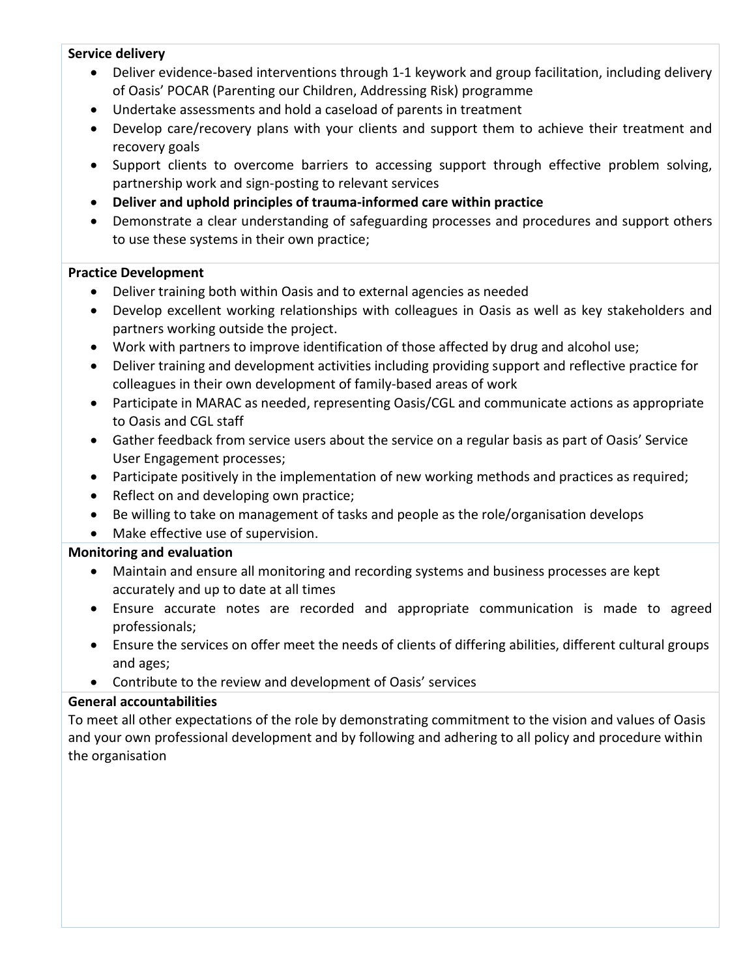## **Service delivery**

- Deliver evidence-based interventions through 1-1 keywork and group facilitation, including delivery of Oasis' POCAR (Parenting our Children, Addressing Risk) programme
- Undertake assessments and hold a caseload of parents in treatment
- Develop care/recovery plans with your clients and support them to achieve their treatment and recovery goals
- Support clients to overcome barriers to accessing support through effective problem solving, partnership work and sign-posting to relevant services
- **Deliver and uphold principles of trauma-informed care within practice**
- Demonstrate a clear understanding of safeguarding processes and procedures and support others to use these systems in their own practice;

## **Practice Development**

- Deliver training both within Oasis and to external agencies as needed
- Develop excellent working relationships with colleagues in Oasis as well as key stakeholders and partners working outside the project.
- Work with partners to improve identification of those affected by drug and alcohol use;
- Deliver training and development activities including providing support and reflective practice for colleagues in their own development of family-based areas of work
- Participate in MARAC as needed, representing Oasis/CGL and communicate actions as appropriate to Oasis and CGL staff
- Gather feedback from service users about the service on a regular basis as part of Oasis' Service User Engagement processes;
- Participate positively in the implementation of new working methods and practices as required;
- Reflect on and developing own practice;
- Be willing to take on management of tasks and people as the role/organisation develops
- Make effective use of supervision.

# **Monitoring and evaluation**

- Maintain and ensure all monitoring and recording systems and business processes are kept accurately and up to date at all times
- Ensure accurate notes are recorded and appropriate communication is made to agreed professionals;
- Ensure the services on offer meet the needs of clients of differing abilities, different cultural groups and ages;
- Contribute to the review and development of Oasis' services

# **General accountabilities**

To meet all other expectations of the role by demonstrating commitment to the vision and values of Oasis and your own professional development and by following and adhering to all policy and procedure within the organisation